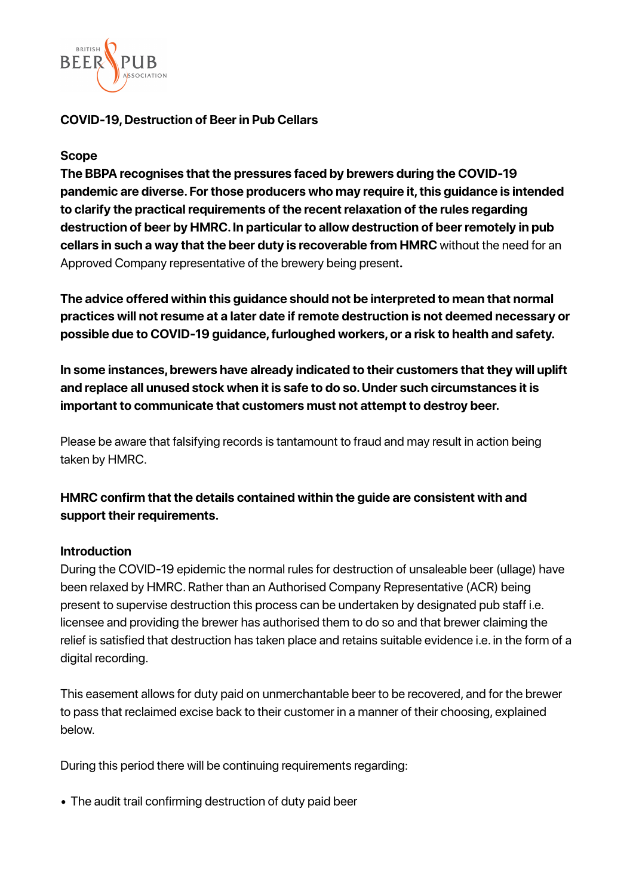

# **COVID-19, Destruction of Beer in Pub Cellars**

#### **Scope**

**The BBPA recognises that the pressures faced by brewers during the COVID-19 pandemic are diverse. For those producers who may require it, this guidance is intended to clarify the practical requirements of the recent relaxation of the rules regarding destruction of beer by HMRC. In particular to allow destruction of beer remotely in pub cellars in such a way that the beer duty is recoverable from HMRC** without the need for an Approved Company representative of the brewery being present**.** 

**The advice offered within this guidance should not be interpreted to mean that normal practices will not resume at a later date if remote destruction is not deemed necessary or possible due to COVID-19 guidance, furloughed workers, or a risk to health and safety.** 

**In some instances, brewers have already indicated to their customers that they will uplift and replace all unused stock when it is safe to do so. Under such circumstances it is important to communicate that customers must not attempt to destroy beer.** 

Please be aware that falsifying records is tantamount to fraud and may result in action being taken by HMRC.

**HMRC confirm that the details contained within the guide are consistent with and support their requirements.**

# **Introduction**

During the COVID-19 epidemic the normal rules for destruction of unsaleable beer (ullage) have been relaxed by HMRC. Rather than an Authorised Company Representative (ACR) being present to supervise destruction this process can be undertaken by designated pub staff i.e. licensee and providing the brewer has authorised them to do so and that brewer claiming the relief is satisfied that destruction has taken place and retains suitable evidence i.e. in the form of a digital recording.

This easement allows for duty paid on unmerchantable beer to be recovered, and for the brewer to pass that reclaimed excise back to their customer in a manner of their choosing, explained below.

During this period there will be continuing requirements regarding:

• The audit trail confirming destruction of duty paid beer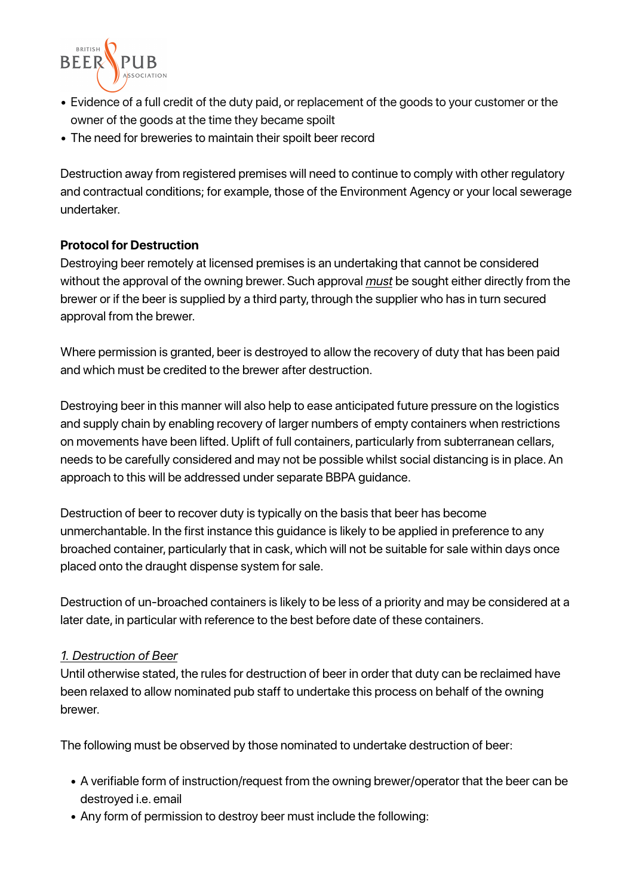

- Evidence of a full credit of the duty paid, or replacement of the goods to your customer or the owner of the goods at the time they became spoilt
- The need for breweries to maintain their spoilt beer record

Destruction away from registered premises will need to continue to comply with other regulatory and contractual conditions; for example, those of the Environment Agency or your local sewerage undertaker.

# **Protocol for Destruction**

Destroying beer remotely at licensed premises is an undertaking that cannot be considered without the approval of the owning brewer. Such approval *must* be sought either directly from the brewer or if the beer is supplied by a third party, through the supplier who has in turn secured approval from the brewer.

Where permission is granted, beer is destroyed to allow the recovery of duty that has been paid and which must be credited to the brewer after destruction.

Destroying beer in this manner will also help to ease anticipated future pressure on the logistics and supply chain by enabling recovery of larger numbers of empty containers when restrictions on movements have been lifted. Uplift of full containers, particularly from subterranean cellars, needs to be carefully considered and may not be possible whilst social distancing is in place. An approach to this will be addressed under separate BBPA guidance.

Destruction of beer to recover duty is typically on the basis that beer has become unmerchantable. In the first instance this guidance is likely to be applied in preference to any broached container, particularly that in cask, which will not be suitable for sale within days once placed onto the draught dispense system for sale.

Destruction of un-broached containers is likely to be less of a priority and may be considered at a later date, in particular with reference to the best before date of these containers.

#### *1. Destruction of Beer*

Until otherwise stated, the rules for destruction of beer in order that duty can be reclaimed have been relaxed to allow nominated pub staff to undertake this process on behalf of the owning brewer.

The following must be observed by those nominated to undertake destruction of beer:

- *•* A verifiable form of instruction/request from the owning brewer/operator that the beer can be destroyed i.e. email
- *•* Any form of permission to destroy beer must include the following: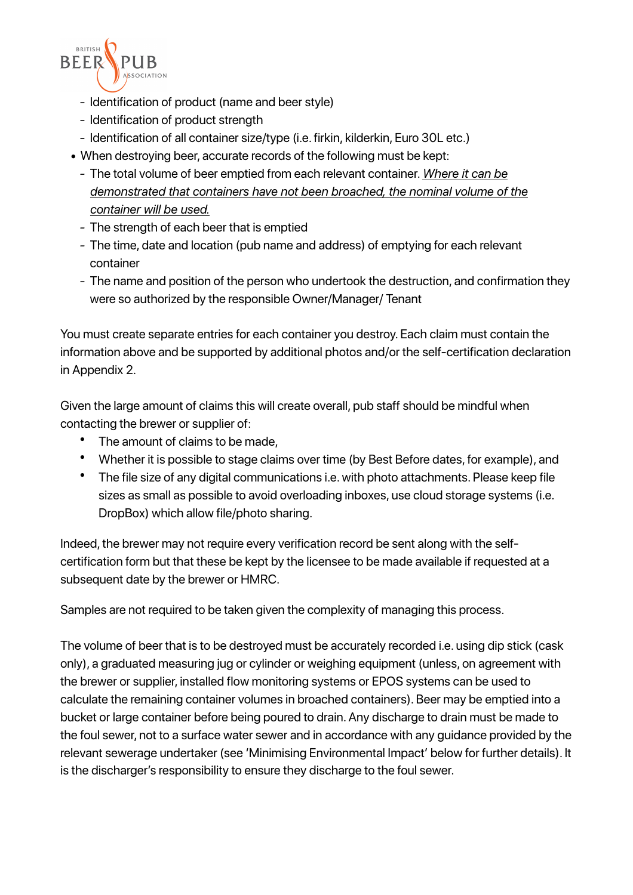

- *-* Identification of product (name and beer style)
- *-* Identification of product strength
- *-* Identification of all container size/type (i.e. firkin, kilderkin, Euro 30L etc.)
- *•* When destroying beer, accurate records of the following must be kept:
	- *-* The total volume of beer emptied from each relevant container. *Where it can be demonstrated that containers have not been broached, the nominal volume of the container will be used.*
	- *-* The strength of each beer that is emptied
	- *-* The time, date and location (pub name and address) of emptying for each relevant container
	- *-* The name and position of the person who undertook the destruction, and confirmation they were so authorized by the responsible Owner/Manager/ Tenant

You must create separate entries for each container you destroy. Each claim must contain the information above and be supported by additional photos and/or the self-certification declaration in Appendix 2.

Given the large amount of claims this will create overall, pub staff should be mindful when contacting the brewer or supplier of:

- The amount of claims to be made,
- Whether it is possible to stage claims over time (by Best Before dates, for example), and
- The file size of any digital communications i.e. with photo attachments. Please keep file sizes as small as possible to avoid overloading inboxes, use cloud storage systems (i.e. DropBox) which allow file/photo sharing.

Indeed, the brewer may not require every verification record be sent along with the selfcertification form but that these be kept by the licensee to be made available if requested at a subsequent date by the brewer or HMRC.

Samples are not required to be taken given the complexity of managing this process.

The volume of beer that is to be destroyed must be accurately recorded i.e. using dip stick (cask only), a graduated measuring jug or cylinder or weighing equipment (unless, on agreement with the brewer or supplier, installed flow monitoring systems or EPOS systems can be used to calculate the remaining container volumes in broached containers). Beer may be emptied into a bucket or large container before being poured to drain. Any discharge to drain must be made to the foul sewer, not to a surface water sewer and in accordance with any guidance provided by the relevant sewerage undertaker (see 'Minimising Environmental Impact' below for further details). It is the discharger's responsibility to ensure they discharge to the foul sewer.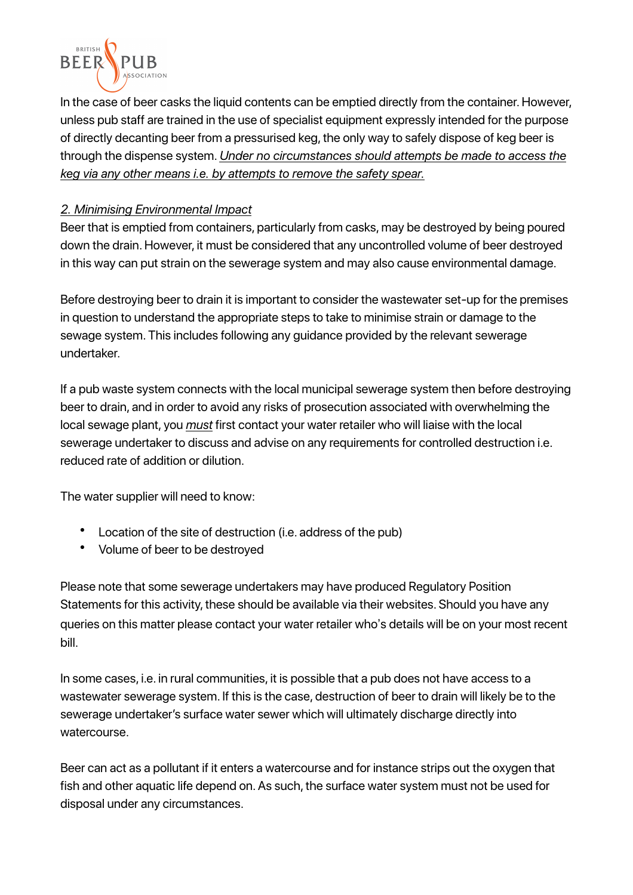

In the case of beer casks the liquid contents can be emptied directly from the container. However, unless pub staff are trained in the use of specialist equipment expressly intended for the purpose of directly decanting beer from a pressurised keg, the only way to safely dispose of keg beer is through the dispense system. *Under no circumstances should attempts be made to access the keg via any other means i.e. by attempts to remove the safety spear.*

# *2. Minimising Environmental Impact*

Beer that is emptied from containers, particularly from casks, may be destroyed by being poured down the drain. However, it must be considered that any uncontrolled volume of beer destroyed in this way can put strain on the sewerage system and may also cause environmental damage.

Before destroying beer to drain it is important to consider the wastewater set-up for the premises in question to understand the appropriate steps to take to minimise strain or damage to the sewage system. This includes following any guidance provided by the relevant sewerage undertaker.

If a pub waste system connects with the local municipal sewerage system then before destroying beer to drain, and in order to avoid any risks of prosecution associated with overwhelming the local sewage plant, you *must* first contact your water retailer who will liaise with the local sewerage undertaker to discuss and advise on any requirements for controlled destruction i.e. reduced rate of addition or dilution.

The water supplier will need to know:

- Location of the site of destruction (i.e. address of the pub)
- Volume of beer to be destroyed

Please note that some sewerage undertakers may have produced Regulatory Position Statements for this activity, these should be available via their websites. Should you have any queries on this matter please contact your water retailer who's details will be on your most recent bill.

In some cases, i.e. in rural communities, it is possible that a pub does not have access to a wastewater sewerage system. If this is the case, destruction of beer to drain will likely be to the sewerage undertaker's surface water sewer which will ultimately discharge directly into watercourse.

Beer can act as a pollutant if it enters a watercourse and for instance strips out the oxygen that fish and other aquatic life depend on. As such, the surface water system must not be used for disposal under any circumstances.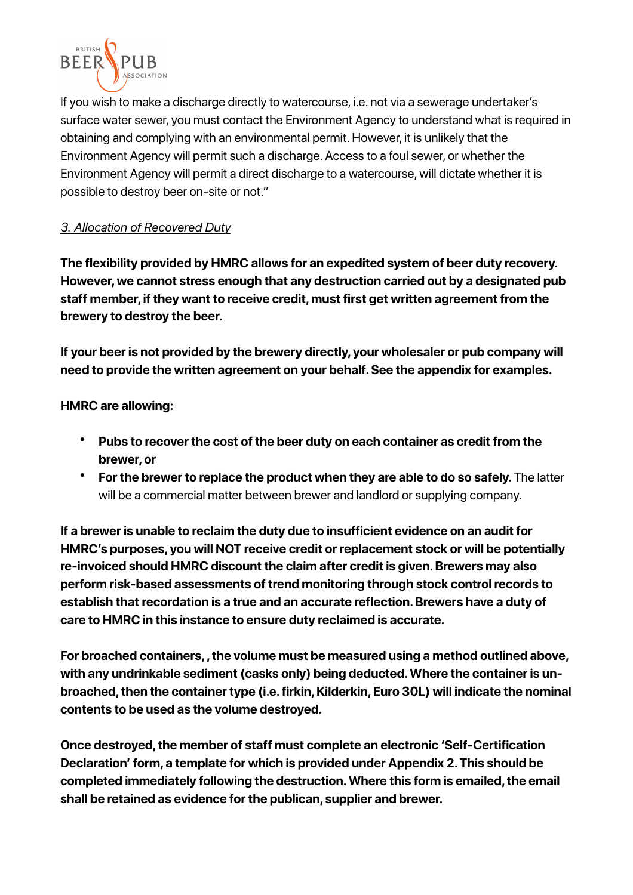

If you wish to make a discharge directly to watercourse, i.e. not via a sewerage undertaker's surface water sewer, you must contact the Environment Agency to understand what is required in obtaining and complying with an environmental permit. However, it is unlikely that the Environment Agency will permit such a discharge. Access to a foul sewer, or whether the Environment Agency will permit a direct discharge to a watercourse, will dictate whether it is possible to destroy beer on-site or not."

# *3. Allocation of Recovered Duty*

**The flexibility provided by HMRC allows for an expedited system of beer duty recovery. However, we cannot stress enough that any destruction carried out by a designated pub staff member, if they want to receive credit, must first get written agreement from the brewery to destroy the beer.** 

**If your beer is not provided by the brewery directly, your wholesaler or pub company will need to provide the written agreement on your behalf. See the appendix for examples.** 

**HMRC are allowing:** 

- **Pubs to recover the cost of the beer duty on each container as credit from the brewer, or**
- **For the brewer to replace the product when they are able to do so safely.** The latter will be a commercial matter between brewer and landlord or supplying company.

**If a brewer is unable to reclaim the duty due to insufficient evidence on an audit for HMRC's purposes, you will NOT receive credit or replacement stock or will be potentially re-invoiced should HMRC discount the claim after credit is given. Brewers may also perform risk-based assessments of trend monitoring through stock control records to establish that recordation is a true and an accurate reflection. Brewers have a duty of care to HMRC in this instance to ensure duty reclaimed is accurate.** 

**For broached containers, , the volume must be measured using a method outlined above, with any undrinkable sediment (casks only) being deducted. Where the container is unbroached, then the container type (i.e. firkin, Kilderkin, Euro 30L) will indicate the nominal contents to be used as the volume destroyed.** 

**Once destroyed, the member of staff must complete an electronic 'Self-Certification Declaration' form, a template for which is provided under Appendix 2. This should be completed immediately following the destruction. Where this form is emailed, the email shall be retained as evidence for the publican, supplier and brewer.**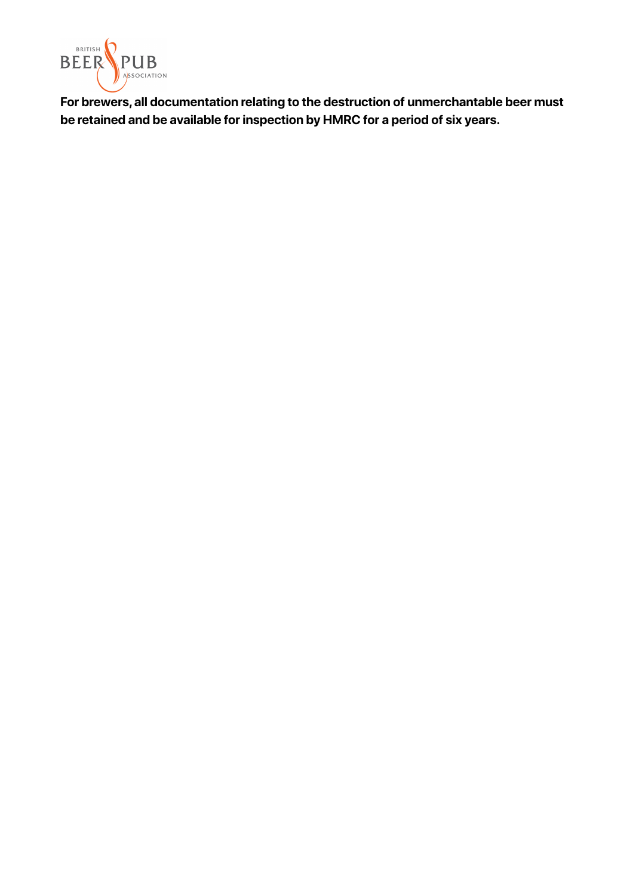

**For brewers, all documentation relating to the destruction of unmerchantable beer must be retained and be available for inspection by HMRC for a period of six years.**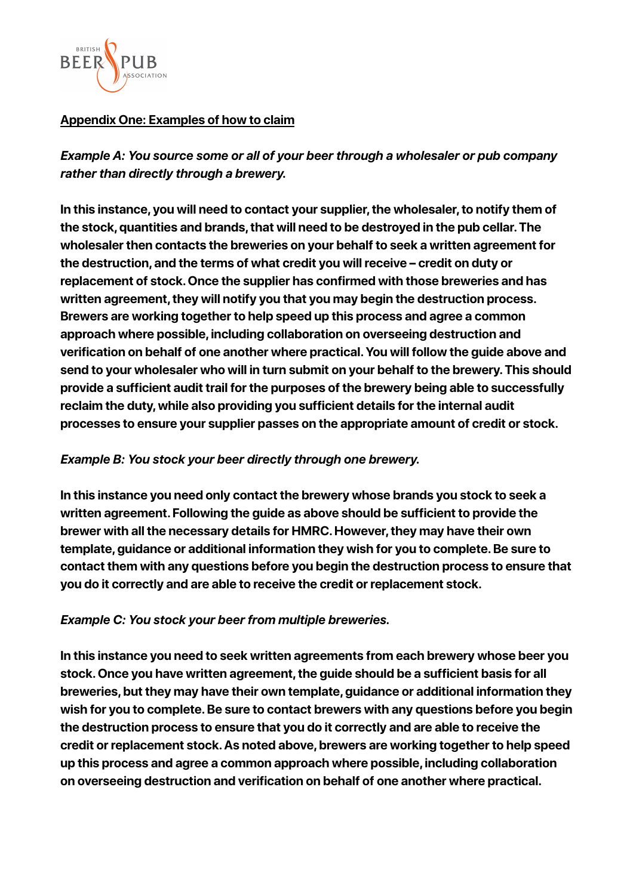

# **Appendix One: Examples of how to claim**

*Example A: You source some or all of your beer through a wholesaler or pub company rather than directly through a brewery.*

**In this instance, you will need to contact your supplier, the wholesaler, to notify them of the stock, quantities and brands, that will need to be destroyed in the pub cellar. The wholesaler then contacts the breweries on your behalf to seek a written agreement for the destruction, and the terms of what credit you will receive – credit on duty or replacement of stock. Once the supplier has confirmed with those breweries and has written agreement, they will notify you that you may begin the destruction process. Brewers are working together to help speed up this process and agree a common approach where possible, including collaboration on overseeing destruction and verification on behalf of one another where practical. You will follow the guide above and send to your wholesaler who will in turn submit on your behalf to the brewery. This should provide a sufficient audit trail for the purposes of the brewery being able to successfully reclaim the duty, while also providing you sufficient details for the internal audit processes to ensure your supplier passes on the appropriate amount of credit or stock.**

# *Example B: You stock your beer directly through one brewery.*

**In this instance you need only contact the brewery whose brands you stock to seek a written agreement. Following the guide as above should be sufficient to provide the brewer with all the necessary details for HMRC. However, they may have their own template, guidance or additional information they wish for you to complete. Be sure to contact them with any questions before you begin the destruction process to ensure that you do it correctly and are able to receive the credit or replacement stock.**

# *Example C: You stock your beer from multiple breweries.*

**In this instance you need to seek written agreements from each brewery whose beer you stock. Once you have written agreement, the guide should be a sufficient basis for all breweries, but they may have their own template, guidance or additional information they wish for you to complete. Be sure to contact brewers with any questions before you begin the destruction process to ensure that you do it correctly and are able to receive the credit or replacement stock. As noted above, brewers are working together to help speed up this process and agree a common approach where possible, including collaboration on overseeing destruction and verification on behalf of one another where practical.**